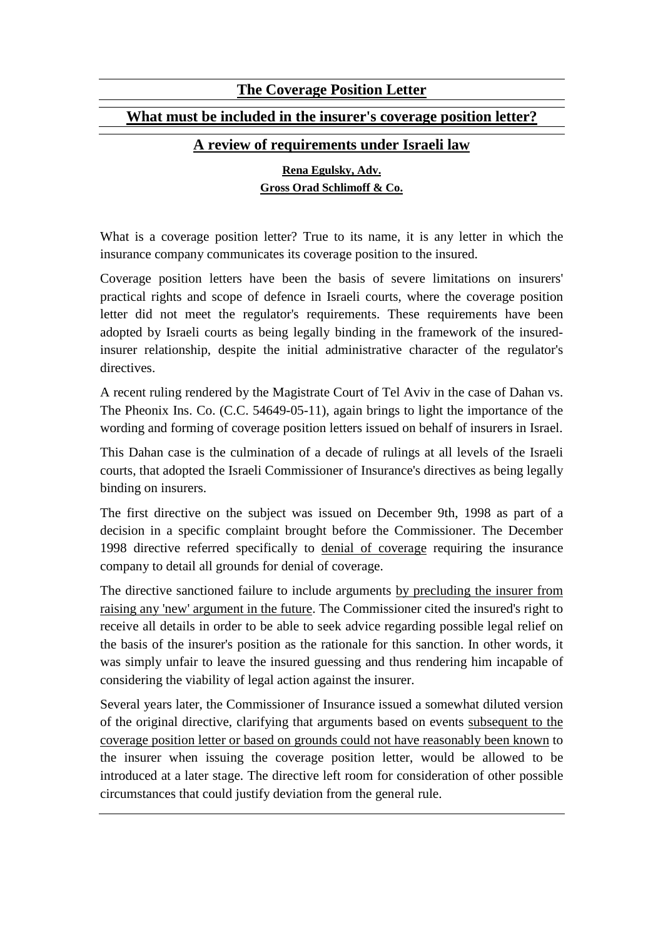## **The Coverage Position Letter**

## **What must be included in the insurer's coverage position letter?**

## **A review of requirements under Israeli law**

## **Rena Egulsky, Adv. Gross Orad Schlimoff & Co.**

What is a coverage position letter? True to its name, it is any letter in which the insurance company communicates its coverage position to the insured.

Coverage position letters have been the basis of severe limitations on insurers' practical rights and scope of defence in Israeli courts, where the coverage position letter did not meet the regulator's requirements. These requirements have been adopted by Israeli courts as being legally binding in the framework of the insuredinsurer relationship, despite the initial administrative character of the regulator's directives.

A recent ruling rendered by the Magistrate Court of Tel Aviv in the case of Dahan vs. The Pheonix Ins. Co. (C.C. 54649-05-11), again brings to light the importance of the wording and forming of coverage position letters issued on behalf of insurers in Israel.

This Dahan case is the culmination of a decade of rulings at all levels of the Israeli courts, that adopted the Israeli Commissioner of Insurance's directives as being legally binding on insurers.

The first directive on the subject was issued on December 9th, 1998 as part of a decision in a specific complaint brought before the Commissioner. The December 1998 directive referred specifically to denial of coverage requiring the insurance company to detail all grounds for denial of coverage.

The directive sanctioned failure to include arguments by precluding the insurer from raising any 'new' argument in the future. The Commissioner cited the insured's right to receive all details in order to be able to seek advice regarding possible legal relief on the basis of the insurer's position as the rationale for this sanction. In other words, it was simply unfair to leave the insured guessing and thus rendering him incapable of considering the viability of legal action against the insurer.

Several years later, the Commissioner of Insurance issued a somewhat diluted version of the original directive, clarifying that arguments based on events subsequent to the coverage position letter or based on grounds could not have reasonably been known to the insurer when issuing the coverage position letter, would be allowed to be introduced at a later stage. The directive left room for consideration of other possible circumstances that could justify deviation from the general rule.